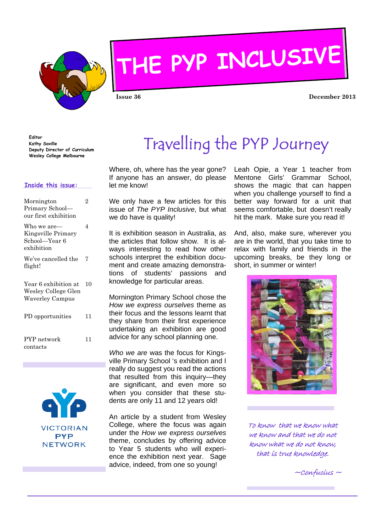

# **THE PYP INCLUSIVE**

**Issue 36 December 2013** 

**Editor Kathy Saville Deputy Director of Curriculum Wesley College Melbourne** 

#### **Inside this issue:**

| Mornington<br>Primary School-<br>our first exhibition                 | 2  |
|-----------------------------------------------------------------------|----|
| Who we are—<br>Kingsville Primary<br>School—Year 6<br>exhibition      | 4  |
| We've cancelled the<br>flight!                                        | 7  |
| Year 6 exhibition at<br>Wesley College Glen<br><b>Waverley Campus</b> | 10 |
| PD opportunities                                                      | 11 |
| PYP network<br>contacts                                               | 11 |



# Travelling the PYP Journey

Where, oh, where has the year gone? If anyone has an answer, do please let me know!

We only have a few articles for this issue of *The PYP Inclusive*, but what we do have is quality!

It is exhibition season in Australia, as the articles that follow show. It is always interesting to read how other schools interpret the exhibition document and create amazing demonstrations of students' passions and knowledge for particular areas.

Mornington Primary School chose the *How we express ourselves* theme as their focus and the lessons learnt that they share from their first experience undertaking an exhibition are good advice for any school planning one.

*Who we are* was the focus for Kingsville Primary School 's exhibition and I really do suggest you read the actions that resulted from this inquiry—they are significant, and even more so when you consider that these students are only 11 and 12 years old!

An article by a student from Wesley College, where the focus was again under the *How we express ourselves*  theme, concludes by offering advice to Year 5 students who will experience the exhibition next year. Sage advice, indeed, from one so young!

Leah Opie, a Year 1 teacher from Mentone Girls' Grammar School, shows the magic that can happen when you challenge yourself to find a better way forward for a unit that seems comfortable, but doesn't really hit the mark. Make sure you read it!

And, also, make sure, wherever you are in the world, that you take time to relax with family and friends in the upcoming breaks, be they long or short, in summer or winter!



To know that we know what we know and that we do not know what we do not know, that is true knowledge.

 $~\sim$ Confucius  $\sim$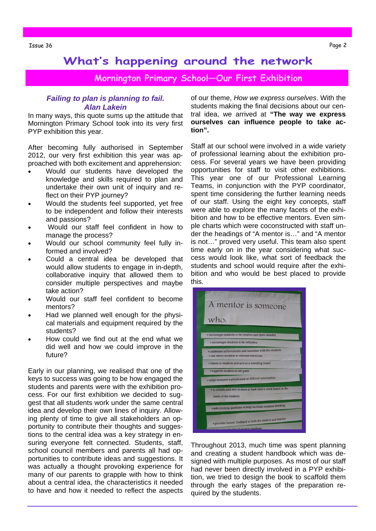**Mornington Primary School—Our First Exhibition** 

#### *Failing to plan is planning to fail. Alan Lakein*

In many ways, this quote sums up the attitude that Mornington Primary School took into its very first PYP exhibition this year.

After becoming fully authorised in September 2012, our very first exhibition this year was approached with both excitement and apprehension:

- Would our students have developed the knowledge and skills required to plan and undertake their own unit of inquiry and reflect on their PYP journey?
- Would the students feel supported, yet free to be independent and follow their interests and passions?
- Would our staff feel confident in how to manage the process?
- Would our school community feel fully informed and involved?
- Could a central idea be developed that would allow students to engage in in-depth, collaborative inquiry that allowed them to consider multiple perspectives and maybe take action?
- Would our staff feel confident to become mentors?
- Had we planned well enough for the physical materials and equipment required by the students?
- How could we find out at the end what we did well and how we could improve in the future?

Early in our planning, we realised that one of the keys to success was going to be how engaged the students and parents were with the exhibition process. For our first exhibition we decided to suggest that all students work under the same central idea and develop their own lines of inquiry. Allowing plenty of time to give all stakeholders an opportunity to contribute their thoughts and suggestions to the central idea was a key strategy in ensuring everyone felt connected. Students, staff, school council members and parents all had opportunities to contribute ideas and suggestions. It was actually a thought provoking experience for many of our parents to grapple with how to think about a central idea, the characteristics it needed to have and how it needed to reflect the aspects

of our theme, *How we express ourselves*. With the students making the final decisions about our central idea, we arrived at **"The way we express ourselves can influence people to take action".** 

Staff at our school were involved in a wide variety of professional learning about the exhibition process. For several years we have been providing opportunities for staff to visit other exhibitions. This year one of our Professional Learning Teams, in conjunction with the PYP coordinator, spent time considering the further learning needs of our staff. Using the eight key concepts, staff were able to explore the many facets of the exhibition and how to be effective mentors. Even simple charts which were coconstructed with staff under the headings of "A mentor is…" and "A mentor is not…" proved very useful. This team also spent time early on in the year considering what success would look like, what sort of feedback the students and school would require after the exhibition and who would be best placed to provide this.



Throughout 2013, much time was spent planning and creating a student handbook which was designed with multiple purposes. As most of our staff had never been directly involved in a PYP exhibition, we tried to design the book to scaffold them through the early stages of the preparation required by the students.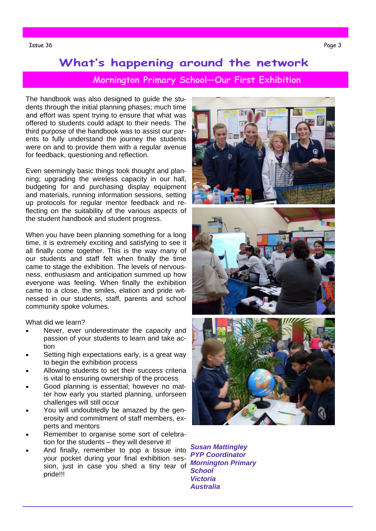### **Mornington Primary School—Our First Exhibition**

The handbook was also designed to guide the students through the initial planning phases; much time and effort was spent trying to ensure that what was offered to students could adapt to their needs. The third purpose of the handbook was to assist our parents to fully understand the journey the students were on and to provide them with a regular avenue for feedback, questioning and reflection.

Even seemingly basic things took thought and planning; upgrading the wireless capacity in our hall, budgeting for and purchasing display equipment and materials, running information sessions, setting up protocols for regular mentor feedback and reflecting on the suitability of the various aspects of the student handbook and student progress.

When you have been planning something for a long time, it is extremely exciting and satisfying to see it all finally come together. This is the way many of our students and staff felt when finally the time came to stage the exhibition. The levels of nervousness, enthusiasm and anticipation summed up how everyone was feeling. When finally the exhibition came to a close, the smiles, elation and pride witnessed in our students, staff, parents and school community spoke volumes.

What did we learn?

- Never, ever underestimate the capacity and passion of your students to learn and take action
- Setting high expectations early, is a great way to begin the exhibition process
- Allowing students to set their success criteria is vital to ensuring ownership of the process
- Good planning is essential; however no matter how early you started planning, unforseen challenges will still occur
- You will undoubtedly be amazed by the generosity and commitment of staff members, experts and mentors
- Remember to organise some sort of celebration for the students – they will deserve it!
- And finally, remember to pop a tissue into your pocket during your final exhibition session, just in case you shed a tiny tear of *Mornington Primary*  pride!!!







*Susan Mattingley PYP Coordinator School Victoria Australia*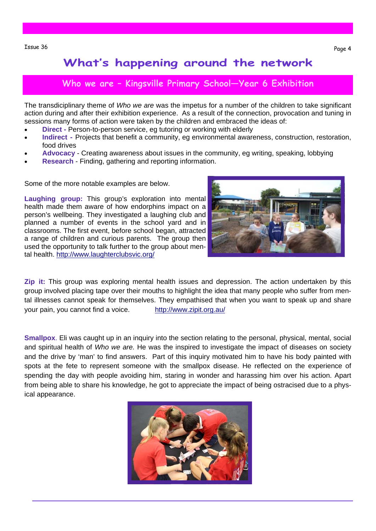### **Who we are – Kingsville Primary School—Year 6 Exhibition**

The transdiciplinary theme of *Who we are* was the impetus for a number of the children to take significant action during and after their exhibition experience. As a result of the connection, provocation and tuning in sessions many forms of action were taken by the children and embraced the ideas of:

- **Direct Person-to-person service, eg tutoring or working with elderly**
- **Indirect** Projects that benefit a community, eg environmental awareness, construction, restoration, food drives
- **Advocacy**  Creating awareness about issues in the community, eg writing, speaking, lobbying
- **Research**  Finding, gathering and reporting information.

Some of the more notable examples are below.

**Laughing group:** This group's exploration into mental health made them aware of how endorphins impact on a person's wellbeing. They investigated a laughing club and planned a number of events in the school yard and in classrooms. The first event, before school began, attracted a range of children and curious parents. The group then used the opportunity to talk further to the group about mental health. http://www.laughterclubsvic.org/



**Zip it:** This group was exploring mental health issues and depression. The action undertaken by this group involved placing tape over their mouths to highlight the idea that many people who suffer from mental illnesses cannot speak for themselves. They empathised that when you want to speak up and share your pain, you cannot find a voice. http://www.zipit.org.au/

**Smallpox**. Eli was caught up in an inquiry into the section relating to the personal, physical, mental, social and spiritual health of *Who we are.* He was the inspired to investigate the impact of diseases on society and the drive by 'man' to find answers. Part of this inquiry motivated him to have his body painted with spots at the fete to represent someone with the smallpox disease. He reflected on the experience of spending the day with people avoiding him, staring in wonder and harassing him over his action. Apart from being able to share his knowledge, he got to appreciate the impact of being ostracised due to a physical appearance.

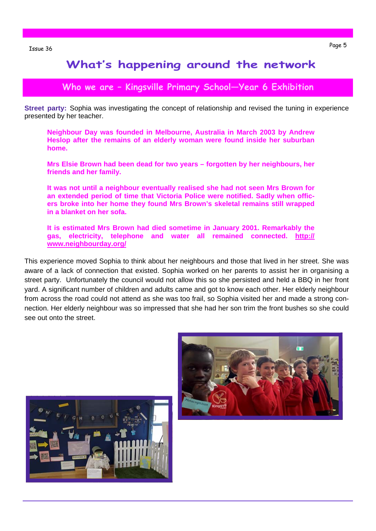### **Who we are – Kingsville Primary School—Year 6 Exhibition**

**Street party:** Sophia was investigating the concept of relationship and revised the tuning in experience presented by her teacher.

**Neighbour Day was founded in Melbourne, Australia in March 2003 by Andrew Heslop after the remains of an elderly woman were found inside her suburban home.** 

**Mrs Elsie Brown had been dead for two years – forgotten by her neighbours, her friends and her family.** 

**It was not until a neighbour eventually realised she had not seen Mrs Brown for an extended period of time that Victoria Police were notified. Sadly when officers broke into her home they found Mrs Brown's skeletal remains still wrapped in a blanket on her sofa.** 

**It is estimated Mrs Brown had died sometime in January 2001. Remarkably the gas, electricity, telephone and water all remained connected. http:// www.neighbourday.org/** 

This experience moved Sophia to think about her neighbours and those that lived in her street. She was aware of a lack of connection that existed. Sophia worked on her parents to assist her in organising a street party. Unfortunately the council would not allow this so she persisted and held a BBQ in her front yard. A significant number of children and adults came and got to know each other. Her elderly neighbour from across the road could not attend as she was too frail, so Sophia visited her and made a strong connection. Her elderly neighbour was so impressed that she had her son trim the front bushes so she could see out onto the street.



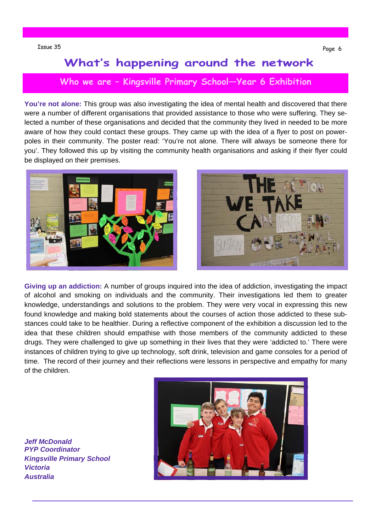### **Who we are – Kingsville Primary School—Year 6 Exhibition**

**You're not alone:** This group was also investigating the idea of mental health and discovered that there were a number of different organisations that provided assistance to those who were suffering. They selected a number of these organisations and decided that the community they lived in needed to be more aware of how they could contact these groups. They came up with the idea of a flyer to post on powerpoles in their community. The poster read: 'You're not alone. There will always be someone there for you'. They followed this up by visiting the community health organisations and asking if their flyer could be displayed on their premises.





**Giving up an addiction:** A number of groups inquired into the idea of addiction, investigating the impact of alcohol and smoking on individuals and the community. Their investigations led them to greater knowledge, understandings and solutions to the problem. They were very vocal in expressing this new found knowledge and making bold statements about the courses of action those addicted to these substances could take to be healthier. During a reflective component of the exhibition a discussion led to the idea that these children should empathise with those members of the community addicted to these drugs. They were challenged to give up something in their lives that they were 'addicted to.' There were instances of children trying to give up technology, soft drink, television and game consoles for a period of time. The record of their journey and their reflections were lessons in perspective and empathy for many of the children.

*Jeff McDonald PYP Coordinator Kingsville Primary School Victoria Australia* 

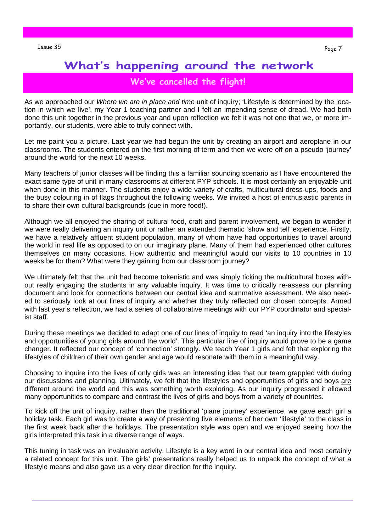#### **We've cancelled the flight!**

As we approached our *Where we are in place and time* unit of inquiry; 'Lifestyle is determined by the location in which we live', my Year 1 teaching partner and I felt an impending sense of dread. We had both done this unit together in the previous year and upon reflection we felt it was not one that we, or more importantly, our students, were able to truly connect with.

Let me paint you a picture. Last year we had begun the unit by creating an airport and aeroplane in our classrooms. The students entered on the first morning of term and then we were off on a pseudo 'journey' around the world for the next 10 weeks.

Many teachers of junior classes will be finding this a familiar sounding scenario as I have encountered the exact same type of unit in many classrooms at different PYP schools. It is most certainly an enjoyable unit when done in this manner. The students enjoy a wide variety of crafts, multicultural dress-ups, foods and the busy colouring in of flags throughout the following weeks. We invited a host of enthusiastic parents in to share their own cultural backgrounds (cue in more food!).

Although we all enjoyed the sharing of cultural food, craft and parent involvement, we began to wonder if we were really delivering an inquiry unit or rather an extended thematic 'show and tell' experience. Firstly, we have a relatively affluent student population, many of whom have had opportunities to travel around the world in real life as opposed to on our imaginary plane. Many of them had experienced other cultures themselves on many occasions. How authentic and meaningful would our visits to 10 countries in 10 weeks be for them? What were they gaining from our classroom journey?

We ultimately felt that the unit had become tokenistic and was simply ticking the multicultural boxes without really engaging the students in any valuable inquiry. It was time to critically re-assess our planning document and look for connections between our central idea and summative assessment. We also needed to seriously look at our lines of inquiry and whether they truly reflected our chosen concepts. Armed with last year's reflection, we had a series of collaborative meetings with our PYP coordinator and specialist staff.

During these meetings we decided to adapt one of our lines of inquiry to read 'an inquiry into the lifestyles and opportunities of young girls around the world'. This particular line of inquiry would prove to be a game changer. It reflected our concept of 'connection' strongly. We teach Year 1 girls and felt that exploring the lifestyles of children of their own gender and age would resonate with them in a meaningful way.

Choosing to inquire into the lives of only girls was an interesting idea that our team grappled with during our discussions and planning. Ultimately, we felt that the lifestyles and opportunities of girls and boys are different around the world and this was something worth exploring. As our inquiry progressed it allowed many opportunities to compare and contrast the lives of girls and boys from a variety of countries.

To kick off the unit of inquiry, rather than the traditional 'plane journey' experience, we gave each girl a holiday task. Each girl was to create a way of presenting five elements of her own 'lifestyle' to the class in the first week back after the holidays. The presentation style was open and we enjoyed seeing how the girls interpreted this task in a diverse range of ways.

This tuning in task was an invaluable activity. Lifestyle is a key word in our central idea and most certainly a related concept for this unit. The girls' presentations really helped us to unpack the concept of what a lifestyle means and also gave us a very clear direction for the inquiry.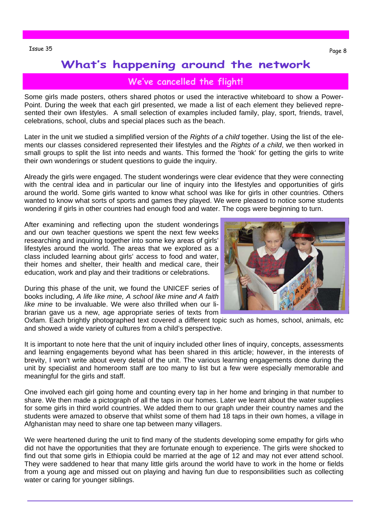#### **We've cancelled the flight!**

Some girls made posters, others shared photos or used the interactive whiteboard to show a Power-Point. During the week that each girl presented, we made a list of each element they believed represented their own lifestyles. A small selection of examples included family, play, sport, friends, travel, celebrations, school, clubs and special places such as the beach.

Later in the unit we studied a simplified version of the *Rights of a child* together. Using the list of the elements our classes considered represented their lifestyles and the *Rights of a child*, we then worked in small groups to split the list into needs and wants. This formed the 'hook' for getting the girls to write their own wonderings or student questions to guide the inquiry.

Already the girls were engaged. The student wonderings were clear evidence that they were connecting with the central idea and in particular our line of inquiry into the lifestyles and opportunities of girls around the world. Some girls wanted to know what school was like for girls in other countries. Others wanted to know what sorts of sports and games they played. We were pleased to notice some students wondering if girls in other countries had enough food and water. The cogs were beginning to turn.

After examining and reflecting upon the student wonderings and our own teacher questions we spent the next few weeks researching and inquiring together into some key areas of girls' lifestyles around the world. The areas that we explored as a class included learning about girls' access to food and water, their homes and shelter, their health and medical care, their education, work and play and their traditions or celebrations.

During this phase of the unit, we found the UNICEF series of books including, *A life like mine, A school like mine and A faith like mine* to be invaluable. We were also thrilled when our librarian gave us a new, age appropriate series of texts from

Oxfam. Each brightly photographed text covered a different topic such as homes, school, animals, etc and showed a wide variety of cultures from a child's perspective.

It is important to note here that the unit of inquiry included other lines of inquiry, concepts, assessments and learning engagements beyond what has been shared in this article; however, in the interests of brevity, I won't write about every detail of the unit. The various learning engagements done during the unit by specialist and homeroom staff are too many to list but a few were especially memorable and meaningful for the girls and staff.

One involved each girl going home and counting every tap in her home and bringing in that number to share. We then made a pictograph of all the taps in our homes. Later we learnt about the water supplies for some girls in third world countries. We added them to our graph under their country names and the students were amazed to observe that whilst some of them had 18 taps in their own homes, a village in Afghanistan may need to share one tap between many villagers.

We were heartened during the unit to find many of the students developing some empathy for girls who did not have the opportunities that they are fortunate enough to experience. The girls were shocked to find out that some girls in Ethiopia could be married at the age of 12 and may not ever attend school. They were saddened to hear that many little girls around the world have to work in the home or fields from a young age and missed out on playing and having fun due to responsibilities such as collecting water or caring for younger siblings.

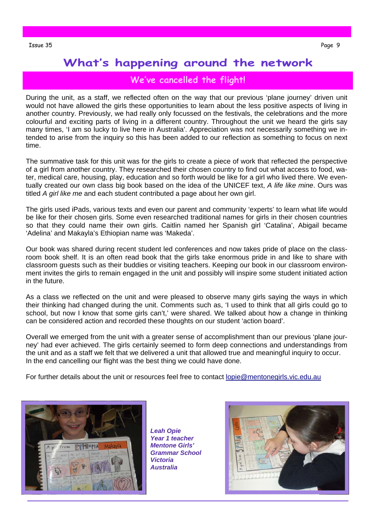### **We've cancelled the flight!**

During the unit, as a staff, we reflected often on the way that our previous 'plane journey' driven unit would not have allowed the girls these opportunities to learn about the less positive aspects of living in another country. Previously, we had really only focussed on the festivals, the celebrations and the more colourful and exciting parts of living in a different country. Throughout the unit we heard the girls say many times, 'I am so lucky to live here in Australia'. Appreciation was not necessarily something we intended to arise from the inquiry so this has been added to our reflection as something to focus on next time.

The summative task for this unit was for the girls to create a piece of work that reflected the perspective of a girl from another country. They researched their chosen country to find out what access to food, water, medical care, housing, play, education and so forth would be like for a girl who lived there. We eventually created our own class big book based on the idea of the UNICEF text, *A life like mine*. Ours was titled *A girl like me* and each student contributed a page about her own girl.

The girls used iPads, various texts and even our parent and community 'experts' to learn what life would be like for their chosen girls. Some even researched traditional names for girls in their chosen countries so that they could name their own girls. Caitlin named her Spanish girl 'Catalina', Abigail became 'Adelina' and Makayla's Ethiopian name was 'Makeda'.

Our book was shared during recent student led conferences and now takes pride of place on the classroom book shelf. It is an often read book that the girls take enormous pride in and like to share with classroom guests such as their buddies or visiting teachers. Keeping our book in our classroom environment invites the girls to remain engaged in the unit and possibly will inspire some student initiated action in the future.

As a class we reflected on the unit and were pleased to observe many girls saying the ways in which their thinking had changed during the unit. Comments such as, 'I used to think that all girls could go to school, but now I know that some girls can't,' were shared. We talked about how a change in thinking can be considered action and recorded these thoughts on our student 'action board'.

Overall we emerged from the unit with a greater sense of accomplishment than our previous 'plane journey' had ever achieved. The girls certainly seemed to form deep connections and understandings from the unit and as a staff we felt that we delivered a unit that allowed true and meaningful inquiry to occur. In the end cancelling our flight was the best thing we could have done.

For further details about the unit or resources feel free to contact lopie@mentonegirls.vic.edu.au



*Leah Opie Year 1 teacher Mentone Girls' Grammar School Victoria Australia* 

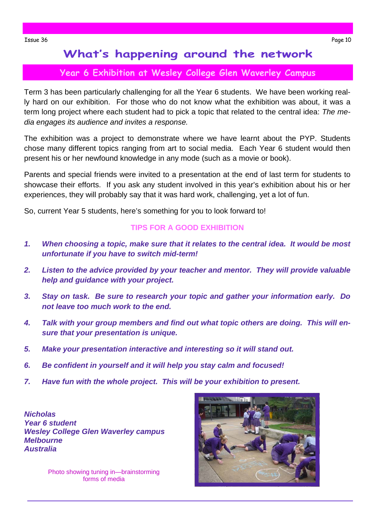### **Year 6 Exhibition at Wesley College Glen Waverley Campus**

Term 3 has been particularly challenging for all the Year 6 students. We have been working really hard on our exhibition. For those who do not know what the exhibition was about, it was a term long project where each student had to pick a topic that related to the central idea: *The media engages its audience and invites a response.* 

The exhibition was a project to demonstrate where we have learnt about the PYP. Students chose many different topics ranging from art to social media. Each Year 6 student would then present his or her newfound knowledge in any mode (such as a movie or book).

Parents and special friends were invited to a presentation at the end of last term for students to showcase their efforts. If you ask any student involved in this year's exhibition about his or her experiences, they will probably say that it was hard work, challenging, yet a lot of fun.

So, current Year 5 students, here's something for you to look forward to!

#### **TIPS FOR A GOOD EXHIBITION**

- *1. When choosing a topic, make sure that it relates to the central idea. It would be most unfortunate if you have to switch mid-term!*
- *2. Listen to the advice provided by your teacher and mentor. They will provide valuable help and guidance with your project.*
- *3. Stay on task. Be sure to research your topic and gather your information early. Do not leave too much work to the end.*
- *4. Talk with your group members and find out what topic others are doing. This will ensure that your presentation is unique.*
- *5. Make your presentation interactive and interesting so it will stand out.*
- *6. Be confident in yourself and it will help you stay calm and focused!*
- *7. Have fun with the whole project. This will be your exhibition to present.*

*Nicholas Year 6 student Wesley College Glen Waverley campus Melbourne Australia* 

> Photo showing tuning in—brainstorming forms of media